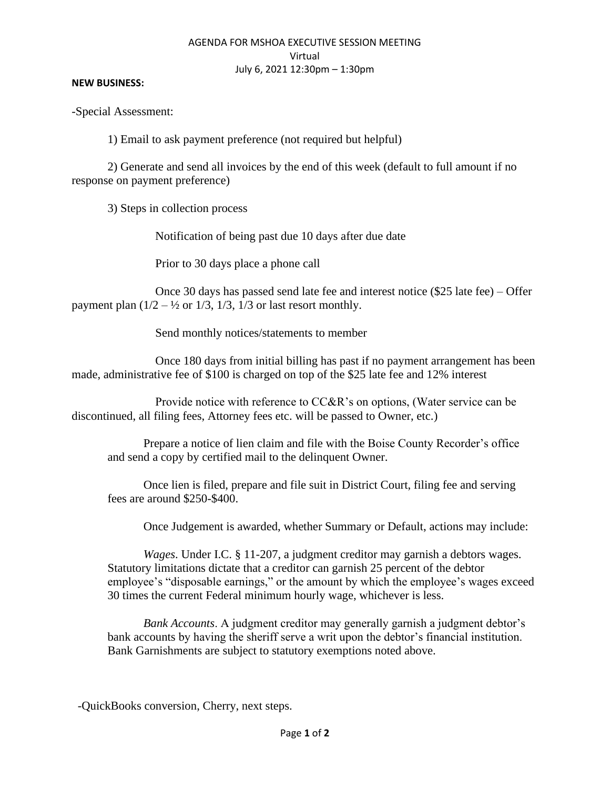## AGENDA FOR MSHOA EXECUTIVE SESSION MEETING Virtual July 6, 2021 12:30pm – 1:30pm

## **NEW BUSINESS:**

-Special Assessment:

1) Email to ask payment preference (not required but helpful)

2) Generate and send all invoices by the end of this week (default to full amount if no response on payment preference)

3) Steps in collection process

Notification of being past due 10 days after due date

Prior to 30 days place a phone call

 Once 30 days has passed send late fee and interest notice (\$25 late fee) – Offer payment plan  $(1/2 - \frac{1}{2})$  or  $1/3$ ,  $1/3$ ,  $1/3$  or last resort monthly.

Send monthly notices/statements to member

 Once 180 days from initial billing has past if no payment arrangement has been made, administrative fee of \$100 is charged on top of the \$25 late fee and 12% interest

 Provide notice with reference to CC&R's on options, (Water service can be discontinued, all filing fees, Attorney fees etc. will be passed to Owner, etc.)

Prepare a notice of lien claim and file with the Boise County Recorder's office and send a copy by certified mail to the delinquent Owner.

Once lien is filed, prepare and file suit in District Court, filing fee and serving fees are around \$250-\$400.

Once Judgement is awarded, whether Summary or Default, actions may include:

*Wages*. Under I.C. § 11-207, a judgment creditor may garnish a debtors wages. Statutory limitations dictate that a creditor can garnish 25 percent of the debtor employee's "disposable earnings," or the amount by which the employee's wages exceed 30 times the current Federal minimum hourly wage, whichever is less.

*Bank Accounts*. A judgment creditor may generally garnish a judgment debtor's bank accounts by having the sheriff serve a writ upon the debtor's financial institution. Bank Garnishments are subject to statutory exemptions noted above.

-QuickBooks conversion, Cherry, next steps.